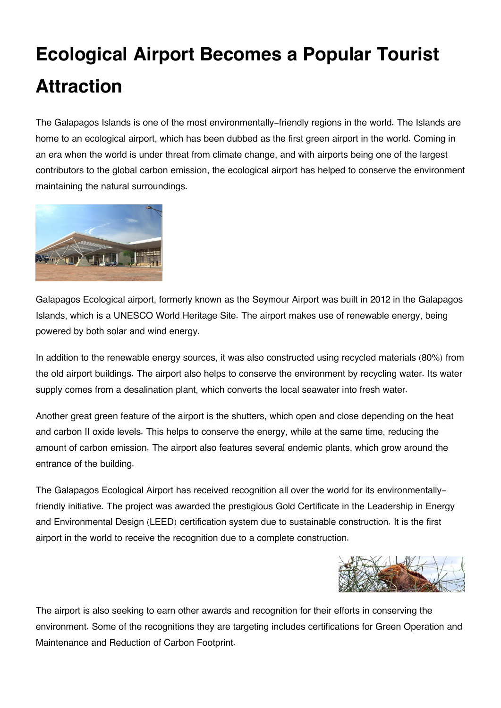## **Ecological Airport Becomes a Popular Tourist Attraction**

The Galapagos Islands is one of the most environmentally-friendly regions in the world. The Islands are home to an ecological airport, which has been dubbed as the first green airport in the world. Coming in an era when the world is under threat from climate change, and with airports being one of the largest contributors to the global carbon emission, the ecological airport has helped to conserve the environment maintaining the natural surroundings.



Galapagos Ecological airport, formerly known as the Seymour Airport was built in 2012 in the Galapagos Islands, which is a UNESCO World Heritage Site. The airport makes use of renewable energy, being powered by both solar and wind energy.

In addition to the renewable energy sources, it was also constructed using recycled materials (80%) from the old airport buildings. The airport also helps to conserve the environment by recycling water. Its water supply comes from a desalination plant, which converts the local seawater into fresh water.

Another great green feature of the airport is the shutters, which open and close depending on the heat and carbon II oxide levels. This helps to conserve the energy, while at the same time, reducing the amount of carbon emission. The airport also features several endemic plants, which grow around the entrance of the building.

The Galapagos Ecological Airport has received recognition all over the world for its environmentallyfriendly initiative. The project was awarded the prestigious Gold Certificate in the Leadership in Energy and Environmental Design (LEED) certification system due to sustainable construction. It is the first airport in the world to receive the recognition due to a complete construction.



The airport is also seeking to earn other awards and recognition for their efforts in conserving the environment. Some of the recognitions they are targeting includes certifications for Green Operation and Maintenance and Reduction of Carbon Footprint.